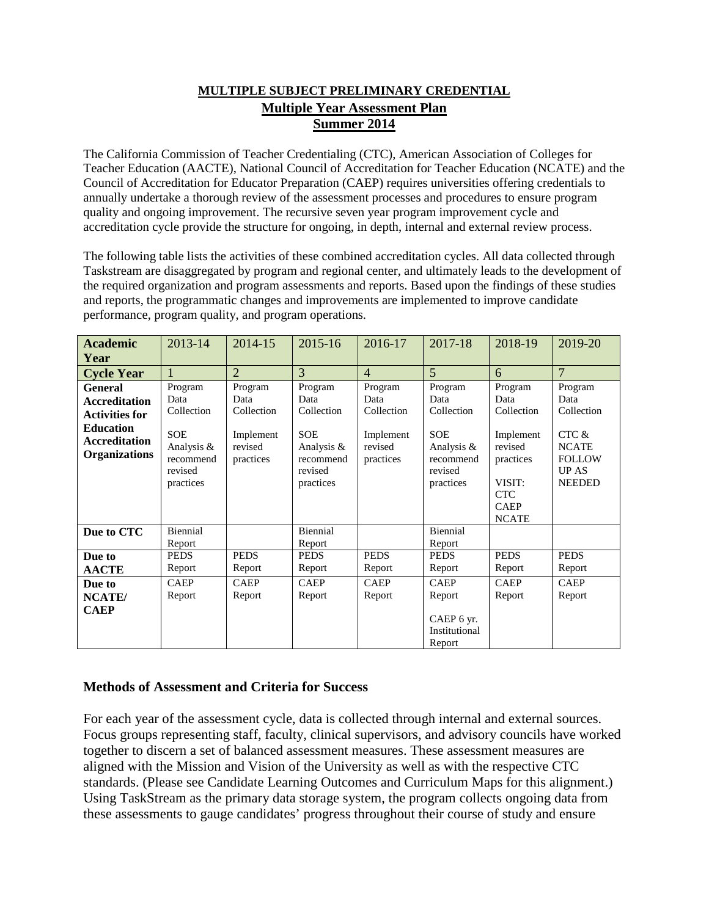### **MULTIPLE SUBJECT PRELIMINARY CREDENTIAL Multiple Year Assessment Plan Summer 2014**

The California Commission of Teacher Credentialing (CTC), American Association of Colleges for Teacher Education (AACTE), National Council of Accreditation for Teacher Education (NCATE) and the Council of Accreditation for Educator Preparation (CAEP) requires universities offering credentials to annually undertake a thorough review of the assessment processes and procedures to ensure program quality and ongoing improvement. The recursive seven year program improvement cycle and accreditation cycle provide the structure for ongoing, in depth, internal and external review process.

The following table lists the activities of these combined accreditation cycles. All data collected through Taskstream are disaggregated by program and regional center, and ultimately leads to the development of the required organization and program assessments and reports. Based upon the findings of these studies and reports, the programmatic changes and improvements are implemented to improve candidate performance, program quality, and program operations.

| <b>Academic</b><br>Year                                                                                                             | 2013-14                                                                                 | 2014-15                                                            | 2015-16                                                                                        | 2016-17                                                            | 2017-18                                                                                        | 2018-19                                                                                                                   | 2019-20                                                                                                   |
|-------------------------------------------------------------------------------------------------------------------------------------|-----------------------------------------------------------------------------------------|--------------------------------------------------------------------|------------------------------------------------------------------------------------------------|--------------------------------------------------------------------|------------------------------------------------------------------------------------------------|---------------------------------------------------------------------------------------------------------------------------|-----------------------------------------------------------------------------------------------------------|
| <b>Cycle Year</b>                                                                                                                   |                                                                                         | $\overline{2}$                                                     | 3                                                                                              | $\overline{4}$                                                     | $\overline{5}$                                                                                 | 6                                                                                                                         | $\overline{7}$                                                                                            |
| <b>General</b><br><b>Accreditation</b><br><b>Activities for</b><br><b>Education</b><br><b>Accreditation</b><br><b>Organizations</b> | Program<br>Data<br>Collection<br>SOE<br>Analysis &<br>recommend<br>revised<br>practices | Program<br>Data<br>Collection<br>Implement<br>revised<br>practices | Program<br>Data<br>Collection<br><b>SOE</b><br>Analysis &<br>recommend<br>revised<br>practices | Program<br>Data<br>Collection<br>Implement<br>revised<br>practices | Program<br>Data<br>Collection<br><b>SOE</b><br>Analysis &<br>recommend<br>revised<br>practices | Program<br>Data<br>Collection<br>Implement<br>revised<br>practices<br>VISIT:<br><b>CTC</b><br><b>CAEP</b><br><b>NCATE</b> | Program<br>Data<br>Collection<br>$CTC$ &<br><b>NCATE</b><br><b>FOLLOW</b><br><b>UPAS</b><br><b>NEEDED</b> |
| Due to CTC                                                                                                                          | Biennial<br>Report                                                                      |                                                                    | Biennial<br>Report                                                                             |                                                                    | Biennial<br>Report                                                                             |                                                                                                                           |                                                                                                           |
| Due to<br><b>AACTE</b>                                                                                                              | <b>PEDS</b><br>Report                                                                   | <b>PEDS</b><br>Report                                              | <b>PEDS</b><br>Report                                                                          | <b>PEDS</b><br>Report                                              | <b>PEDS</b><br>Report                                                                          | <b>PEDS</b><br>Report                                                                                                     | <b>PEDS</b><br>Report                                                                                     |
| Due to<br>NCATE/<br><b>CAEP</b>                                                                                                     | <b>CAEP</b><br>Report                                                                   | <b>CAEP</b><br>Report                                              | <b>CAEP</b><br>Report                                                                          | <b>CAEP</b><br>Report                                              | <b>CAEP</b><br>Report<br>CAEP 6 yr.<br>Institutional<br>Report                                 | <b>CAEP</b><br>Report                                                                                                     | <b>CAEP</b><br>Report                                                                                     |

#### **Methods of Assessment and Criteria for Success**

For each year of the assessment cycle, data is collected through internal and external sources. Focus groups representing staff, faculty, clinical supervisors, and advisory councils have worked together to discern a set of balanced assessment measures. These assessment measures are aligned with the Mission and Vision of the University as well as with the respective CTC standards. (Please see Candidate Learning Outcomes and Curriculum Maps for this alignment.) Using TaskStream as the primary data storage system, the program collects ongoing data from these assessments to gauge candidates' progress throughout their course of study and ensure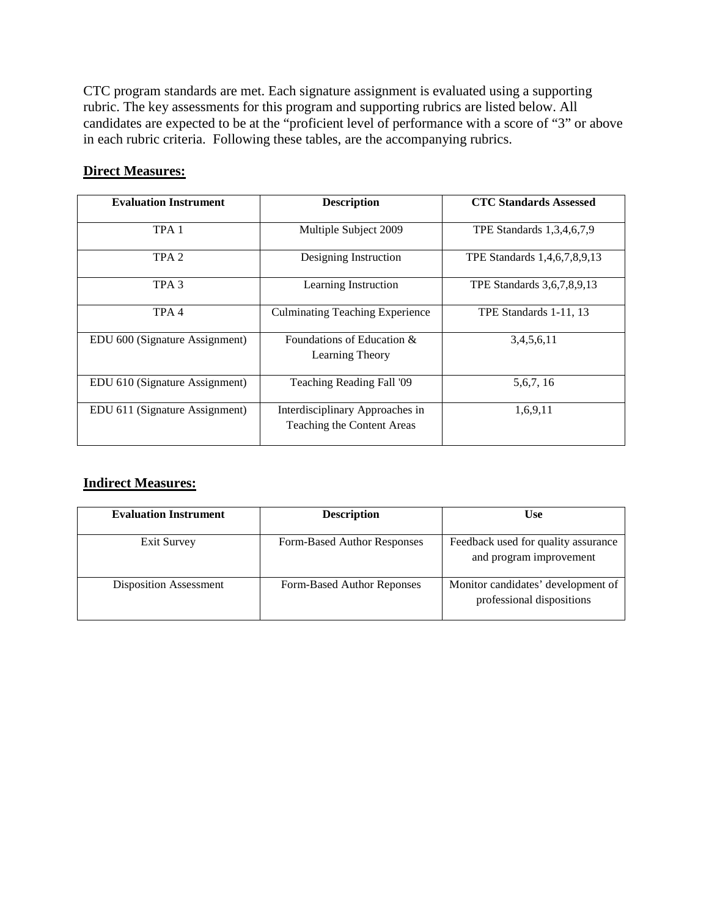CTC program standards are met. Each signature assignment is evaluated using a supporting rubric. The key assessments for this program and supporting rubrics are listed below. All candidates are expected to be at the "proficient level of performance with a score of "3" or above in each rubric criteria. Following these tables, are the accompanying rubrics.

### **Direct Measures:**

| <b>Evaluation Instrument</b>   | <b>Description</b>                                            | <b>CTC Standards Assessed</b> |
|--------------------------------|---------------------------------------------------------------|-------------------------------|
| TPA <sub>1</sub>               | Multiple Subject 2009                                         | TPE Standards 1,3,4,6,7,9     |
| TPA <sub>2</sub>               | Designing Instruction                                         | TPE Standards 1,4,6,7,8,9,13  |
| TPA <sub>3</sub>               | Learning Instruction                                          | TPE Standards 3,6,7,8,9,13    |
| TPA <sub>4</sub>               | <b>Culminating Teaching Experience</b>                        | TPE Standards 1-11, 13        |
| EDU 600 (Signature Assignment) | Foundations of Education $\&$<br>Learning Theory              | 3,4,5,6,11                    |
| EDU 610 (Signature Assignment) | Teaching Reading Fall '09                                     | 5, 6, 7, 16                   |
| EDU 611 (Signature Assignment) | Interdisciplinary Approaches in<br>Teaching the Content Areas | 1,6,9,11                      |

## **Indirect Measures:**

| <b>Evaluation Instrument</b>  | <b>Description</b>          | Use                                                             |  |
|-------------------------------|-----------------------------|-----------------------------------------------------------------|--|
| Exit Survey                   | Form-Based Author Responses | Feedback used for quality assurance<br>and program improvement  |  |
| <b>Disposition Assessment</b> | Form-Based Author Reponses  | Monitor candidates' development of<br>professional dispositions |  |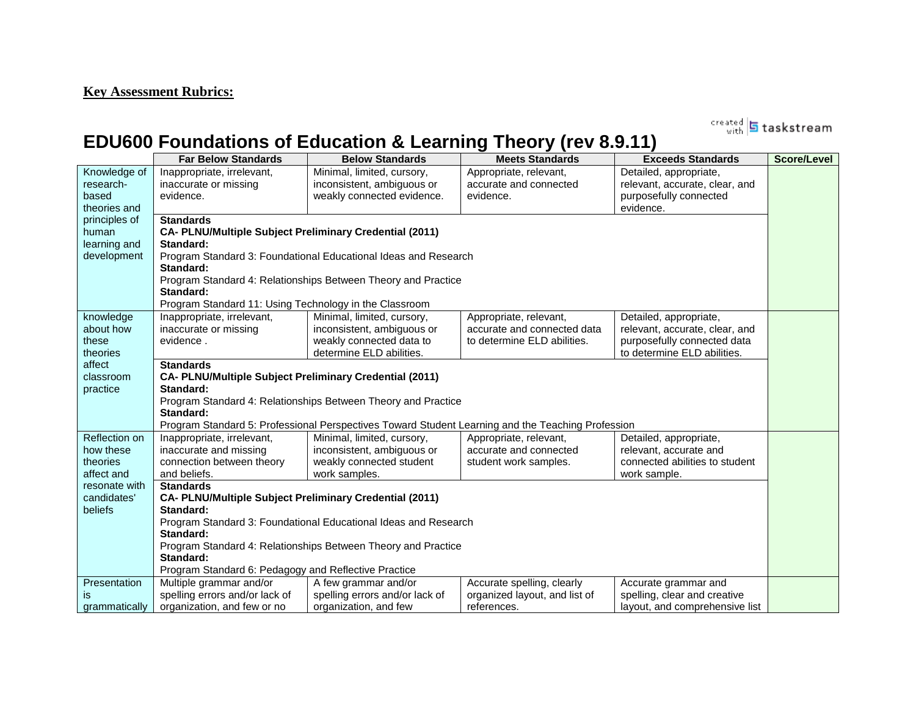# **Key Assessment Rubrics:**

created **5** taskstream

# **EDU600 Foundations of Education & Learning Theory (rev 8.9.11)**

|               | <b>Far Below Standards</b>                                     | <b>Below Standards</b>                                                                                                          | <b>Meets Standards</b>        | <b>Exceeds Standards</b>       | Score/Level |
|---------------|----------------------------------------------------------------|---------------------------------------------------------------------------------------------------------------------------------|-------------------------------|--------------------------------|-------------|
| Knowledge of  | Inappropriate, irrelevant,                                     | Minimal, limited, cursory,                                                                                                      | Appropriate, relevant,        | Detailed, appropriate,         |             |
| research-     | inaccurate or missing                                          | inconsistent, ambiguous or                                                                                                      | accurate and connected        | relevant, accurate, clear, and |             |
| based         | evidence.                                                      | weakly connected evidence.                                                                                                      | evidence.                     | purposefully connected         |             |
| theories and  |                                                                |                                                                                                                                 |                               | evidence.                      |             |
| principles of | <b>Standards</b>                                               |                                                                                                                                 |                               |                                |             |
| human         | <b>CA- PLNU/Multiple Subject Preliminary Credential (2011)</b> |                                                                                                                                 |                               |                                |             |
| learning and  | Standard:                                                      |                                                                                                                                 |                               |                                |             |
| development   | Standard:                                                      | Program Standard 3: Foundational Educational Ideas and Research                                                                 |                               |                                |             |
|               |                                                                | Program Standard 4: Relationships Between Theory and Practice                                                                   |                               |                                |             |
|               | Standard:                                                      |                                                                                                                                 |                               |                                |             |
|               | Program Standard 11: Using Technology in the Classroom         |                                                                                                                                 |                               |                                |             |
| knowledge     | Inappropriate, irrelevant,                                     | Minimal, limited, cursory,                                                                                                      | Appropriate, relevant,        | Detailed, appropriate,         |             |
| about how     | inaccurate or missing                                          | inconsistent, ambiguous or                                                                                                      | accurate and connected data   | relevant, accurate, clear, and |             |
| these         | evidence.                                                      | weakly connected data to                                                                                                        | to determine ELD abilities.   | purposefully connected data    |             |
| theories      |                                                                | determine ELD abilities.                                                                                                        |                               | to determine ELD abilities.    |             |
| affect        | <b>Standards</b>                                               |                                                                                                                                 |                               |                                |             |
| classroom     | <b>CA- PLNU/Multiple Subject Preliminary Credential (2011)</b> |                                                                                                                                 |                               |                                |             |
| practice      | Standard:                                                      |                                                                                                                                 |                               |                                |             |
|               | Standard:                                                      | Program Standard 4: Relationships Between Theory and Practice                                                                   |                               |                                |             |
|               |                                                                |                                                                                                                                 |                               |                                |             |
| Reflection on | Inappropriate, irrelevant,                                     | Program Standard 5: Professional Perspectives Toward Student Learning and the Teaching Profession<br>Minimal, limited, cursory, | Appropriate, relevant,        | Detailed, appropriate,         |             |
| how these     | inaccurate and missing                                         | inconsistent, ambiguous or                                                                                                      | accurate and connected        | relevant, accurate and         |             |
| theories      | connection between theory                                      | weakly connected student                                                                                                        | student work samples.         | connected abilities to student |             |
| affect and    | and beliefs.                                                   | work samples.                                                                                                                   |                               | work sample.                   |             |
| resonate with | <b>Standards</b>                                               |                                                                                                                                 |                               |                                |             |
| candidates'   | <b>CA- PLNU/Multiple Subject Preliminary Credential (2011)</b> |                                                                                                                                 |                               |                                |             |
| beliefs       | Standard:                                                      |                                                                                                                                 |                               |                                |             |
|               |                                                                | Program Standard 3: Foundational Educational Ideas and Research                                                                 |                               |                                |             |
|               | Standard:                                                      |                                                                                                                                 |                               |                                |             |
|               |                                                                | Program Standard 4: Relationships Between Theory and Practice                                                                   |                               |                                |             |
|               | Standard:                                                      |                                                                                                                                 |                               |                                |             |
|               | Program Standard 6: Pedagogy and Reflective Practice           |                                                                                                                                 |                               |                                |             |
| Presentation  | Multiple grammar and/or                                        | A few grammar and/or                                                                                                            | Accurate spelling, clearly    | Accurate grammar and           |             |
| is            | spelling errors and/or lack of                                 | spelling errors and/or lack of                                                                                                  | organized layout, and list of | spelling, clear and creative   |             |
| grammatically | organization, and few or no                                    | organization, and few                                                                                                           | references.                   | layout, and comprehensive list |             |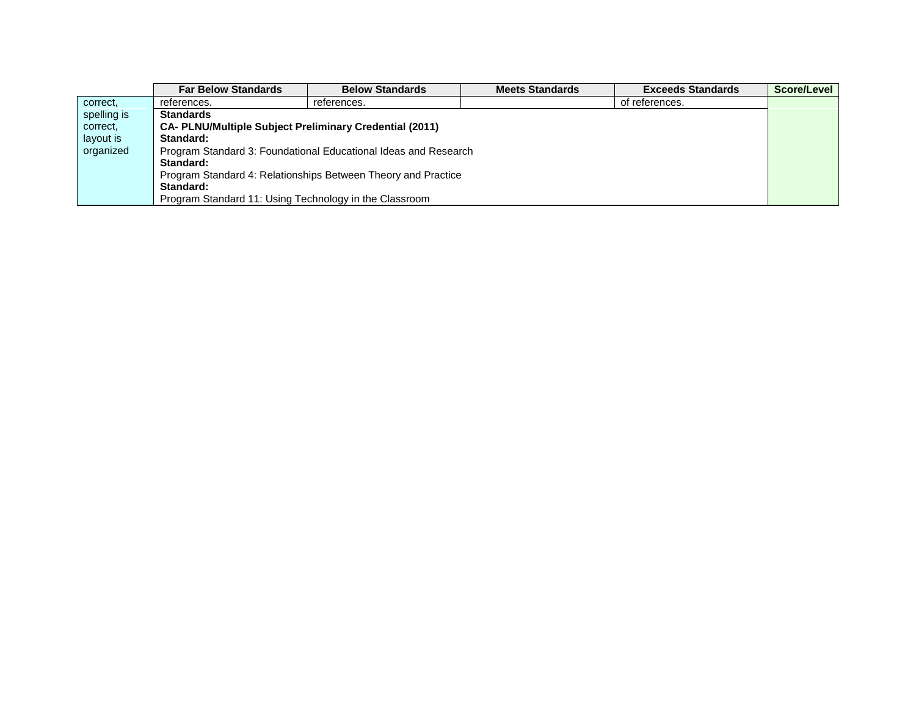|             | <b>Far Below Standards</b>                                     | <b>Below Standards</b>                                          | <b>Meets Standards</b> | <b>Exceeds Standards</b> | Score/Level |
|-------------|----------------------------------------------------------------|-----------------------------------------------------------------|------------------------|--------------------------|-------------|
| correct,    | references.                                                    | references.                                                     |                        | of references.           |             |
| spelling is | <b>Standards</b>                                               |                                                                 |                        |                          |             |
| correct.    | <b>CA- PLNU/Multiple Subject Preliminary Credential (2011)</b> |                                                                 |                        |                          |             |
| layout is   | Standard:                                                      |                                                                 |                        |                          |             |
| organized   |                                                                | Program Standard 3: Foundational Educational Ideas and Research |                        |                          |             |
|             | Standard:                                                      |                                                                 |                        |                          |             |
|             | Program Standard 4: Relationships Between Theory and Practice  |                                                                 |                        |                          |             |
|             | Standard:                                                      |                                                                 |                        |                          |             |
|             | Program Standard 11: Using Technology in the Classroom         |                                                                 |                        |                          |             |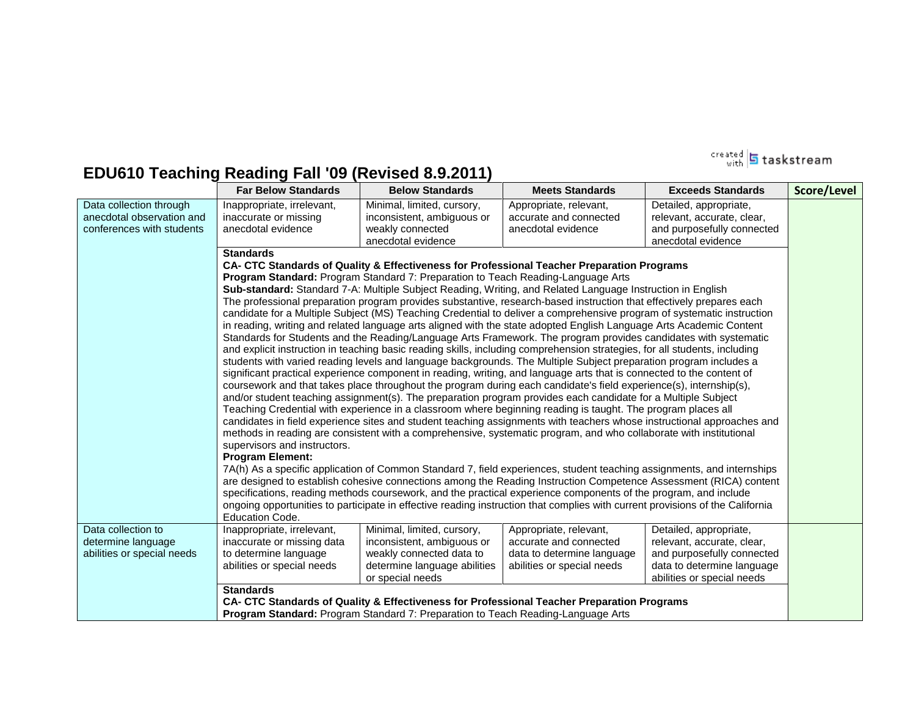

# **EDU610 Teaching Reading Fall '09 (Revised 8.9.2011)**

|                                                                                   | <b>Far Below Standards</b>                                                                                      | <b>Below Standards</b>                                                                                                                   | <b>Meets Standards</b>                                                                                                                                                                                                                                                                                                                                                                                                                                                                                                                                                                                                                                                                                                                                                                                                                                                                                                                                                                                                                                                                                                                                                                                                                                                                                                                                                                                                                                                                                                                                                                                                                                                                                                                                                                                                                                                                                                                                                                                                                                                                                                                                                                     | <b>Exceeds Standards</b>                                                                                                                       | Score/Level |
|-----------------------------------------------------------------------------------|-----------------------------------------------------------------------------------------------------------------|------------------------------------------------------------------------------------------------------------------------------------------|--------------------------------------------------------------------------------------------------------------------------------------------------------------------------------------------------------------------------------------------------------------------------------------------------------------------------------------------------------------------------------------------------------------------------------------------------------------------------------------------------------------------------------------------------------------------------------------------------------------------------------------------------------------------------------------------------------------------------------------------------------------------------------------------------------------------------------------------------------------------------------------------------------------------------------------------------------------------------------------------------------------------------------------------------------------------------------------------------------------------------------------------------------------------------------------------------------------------------------------------------------------------------------------------------------------------------------------------------------------------------------------------------------------------------------------------------------------------------------------------------------------------------------------------------------------------------------------------------------------------------------------------------------------------------------------------------------------------------------------------------------------------------------------------------------------------------------------------------------------------------------------------------------------------------------------------------------------------------------------------------------------------------------------------------------------------------------------------------------------------------------------------------------------------------------------------|------------------------------------------------------------------------------------------------------------------------------------------------|-------------|
| Data collection through<br>anecdotal observation and<br>conferences with students | Inappropriate, irrelevant,<br>inaccurate or missing<br>anecdotal evidence                                       | Minimal, limited, cursory,<br>inconsistent, ambiguous or<br>weakly connected<br>anecdotal evidence                                       | Appropriate, relevant,<br>accurate and connected<br>anecdotal evidence                                                                                                                                                                                                                                                                                                                                                                                                                                                                                                                                                                                                                                                                                                                                                                                                                                                                                                                                                                                                                                                                                                                                                                                                                                                                                                                                                                                                                                                                                                                                                                                                                                                                                                                                                                                                                                                                                                                                                                                                                                                                                                                     | Detailed, appropriate,<br>relevant, accurate, clear,<br>and purposefully connected<br>anecdotal evidence                                       |             |
|                                                                                   | <b>Standards</b><br>supervisors and instructors.<br><b>Program Element:</b><br><b>Education Code.</b>           | Program Standard: Program Standard 7: Preparation to Teach Reading-Language Arts                                                         | CA- CTC Standards of Quality & Effectiveness for Professional Teacher Preparation Programs<br>Sub-standard: Standard 7-A: Multiple Subject Reading, Writing, and Related Language Instruction in English<br>The professional preparation program provides substantive, research-based instruction that effectively prepares each<br>candidate for a Multiple Subject (MS) Teaching Credential to deliver a comprehensive program of systematic instruction<br>in reading, writing and related language arts aligned with the state adopted English Language Arts Academic Content<br>Standards for Students and the Reading/Language Arts Framework. The program provides candidates with systematic<br>and explicit instruction in teaching basic reading skills, including comprehension strategies, for all students, including<br>students with varied reading levels and language backgrounds. The Multiple Subject preparation program includes a<br>significant practical experience component in reading, writing, and language arts that is connected to the content of<br>coursework and that takes place throughout the program during each candidate's field experience(s), internship(s),<br>and/or student teaching assignment(s). The preparation program provides each candidate for a Multiple Subject<br>Teaching Credential with experience in a classroom where beginning reading is taught. The program places all<br>candidates in field experience sites and student teaching assignments with teachers whose instructional approaches and<br>methods in reading are consistent with a comprehensive, systematic program, and who collaborate with institutional<br>7A(h) As a specific application of Common Standard 7, field experiences, student teaching assignments, and internships<br>are designed to establish cohesive connections among the Reading Instruction Competence Assessment (RICA) content<br>specifications, reading methods coursework, and the practical experience components of the program, and include<br>ongoing opportunities to participate in effective reading instruction that complies with current provisions of the California |                                                                                                                                                |             |
| Data collection to<br>determine language<br>abilities or special needs            | Inappropriate, irrelevant,<br>inaccurate or missing data<br>to determine language<br>abilities or special needs | Minimal, limited, cursory,<br>inconsistent, ambiguous or<br>weakly connected data to<br>determine language abilities<br>or special needs | Appropriate, relevant,<br>accurate and connected<br>data to determine language<br>abilities or special needs                                                                                                                                                                                                                                                                                                                                                                                                                                                                                                                                                                                                                                                                                                                                                                                                                                                                                                                                                                                                                                                                                                                                                                                                                                                                                                                                                                                                                                                                                                                                                                                                                                                                                                                                                                                                                                                                                                                                                                                                                                                                               | Detailed, appropriate,<br>relevant, accurate, clear,<br>and purposefully connected<br>data to determine language<br>abilities or special needs |             |
|                                                                                   | <b>Standards</b>                                                                                                | <b>Program Standard:</b> Program Standard 7: Preparation to Teach Reading-Language Arts                                                  | CA- CTC Standards of Quality & Effectiveness for Professional Teacher Preparation Programs                                                                                                                                                                                                                                                                                                                                                                                                                                                                                                                                                                                                                                                                                                                                                                                                                                                                                                                                                                                                                                                                                                                                                                                                                                                                                                                                                                                                                                                                                                                                                                                                                                                                                                                                                                                                                                                                                                                                                                                                                                                                                                 |                                                                                                                                                |             |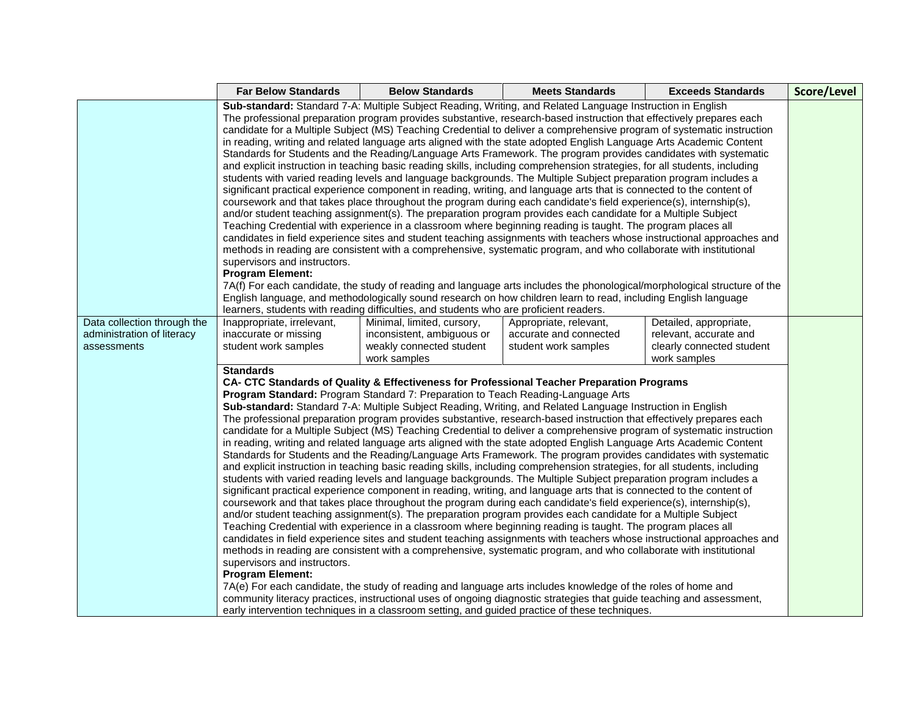|                                                                          | <b>Far Below Standards</b>                                                                                                                                                                                                                                                                                                                                                                                                                                                                                                                                                                                                                                                                                                                                                                                                                                                                                                                                                                                                                                                                                                                                                                                                                                                                                                                                                                                                                                                                                                                                                                                                                                                                                                                                                                                                                                                                                                                                                                                                                                                                                                                                                                                                                                                                                                                     | <b>Below Standards</b> | <b>Meets Standards</b> | <b>Exceeds Standards</b> | Score/Level |  |
|--------------------------------------------------------------------------|------------------------------------------------------------------------------------------------------------------------------------------------------------------------------------------------------------------------------------------------------------------------------------------------------------------------------------------------------------------------------------------------------------------------------------------------------------------------------------------------------------------------------------------------------------------------------------------------------------------------------------------------------------------------------------------------------------------------------------------------------------------------------------------------------------------------------------------------------------------------------------------------------------------------------------------------------------------------------------------------------------------------------------------------------------------------------------------------------------------------------------------------------------------------------------------------------------------------------------------------------------------------------------------------------------------------------------------------------------------------------------------------------------------------------------------------------------------------------------------------------------------------------------------------------------------------------------------------------------------------------------------------------------------------------------------------------------------------------------------------------------------------------------------------------------------------------------------------------------------------------------------------------------------------------------------------------------------------------------------------------------------------------------------------------------------------------------------------------------------------------------------------------------------------------------------------------------------------------------------------------------------------------------------------------------------------------------------------|------------------------|------------------------|--------------------------|-------------|--|
|                                                                          | Sub-standard: Standard 7-A: Multiple Subject Reading, Writing, and Related Language Instruction in English<br>The professional preparation program provides substantive, research-based instruction that effectively prepares each<br>candidate for a Multiple Subject (MS) Teaching Credential to deliver a comprehensive program of systematic instruction<br>in reading, writing and related language arts aligned with the state adopted English Language Arts Academic Content<br>Standards for Students and the Reading/Language Arts Framework. The program provides candidates with systematic<br>and explicit instruction in teaching basic reading skills, including comprehension strategies, for all students, including<br>students with varied reading levels and language backgrounds. The Multiple Subject preparation program includes a<br>significant practical experience component in reading, writing, and language arts that is connected to the content of<br>coursework and that takes place throughout the program during each candidate's field experience(s), internship(s),<br>and/or student teaching assignment(s). The preparation program provides each candidate for a Multiple Subject<br>Teaching Credential with experience in a classroom where beginning reading is taught. The program places all<br>candidates in field experience sites and student teaching assignments with teachers whose instructional approaches and<br>methods in reading are consistent with a comprehensive, systematic program, and who collaborate with institutional<br>supervisors and instructors.<br><b>Program Element:</b><br>7A(f) For each candidate, the study of reading and language arts includes the phonological/morphological structure of the<br>English language, and methodologically sound research on how children learn to read, including English language<br>learners, students with reading difficulties, and students who are proficient readers.                                                                                                                                                                                                                                                                                                                                                 |                        |                        |                          |             |  |
| Data collection through the<br>administration of literacy<br>assessments | Inappropriate, irrelevant,<br>Minimal, limited, cursory,<br>Appropriate, relevant,<br>Detailed, appropriate,<br>inaccurate or missing<br>inconsistent, ambiguous or<br>accurate and connected<br>relevant, accurate and<br>weakly connected student<br>clearly connected student<br>student work samples<br>student work samples<br>work samples<br>work samples<br><b>Standards</b><br>CA- CTC Standards of Quality & Effectiveness for Professional Teacher Preparation Programs<br>Program Standard: Program Standard 7: Preparation to Teach Reading-Language Arts<br>Sub-standard: Standard 7-A: Multiple Subject Reading, Writing, and Related Language Instruction in English<br>The professional preparation program provides substantive, research-based instruction that effectively prepares each<br>candidate for a Multiple Subject (MS) Teaching Credential to deliver a comprehensive program of systematic instruction<br>in reading, writing and related language arts aligned with the state adopted English Language Arts Academic Content<br>Standards for Students and the Reading/Language Arts Framework. The program provides candidates with systematic<br>and explicit instruction in teaching basic reading skills, including comprehension strategies, for all students, including<br>students with varied reading levels and language backgrounds. The Multiple Subject preparation program includes a<br>significant practical experience component in reading, writing, and language arts that is connected to the content of<br>coursework and that takes place throughout the program during each candidate's field experience(s), internship(s),<br>and/or student teaching assignment(s). The preparation program provides each candidate for a Multiple Subject<br>Teaching Credential with experience in a classroom where beginning reading is taught. The program places all<br>candidates in field experience sites and student teaching assignments with teachers whose instructional approaches and<br>methods in reading are consistent with a comprehensive, systematic program, and who collaborate with institutional<br>supervisors and instructors.<br><b>Program Element:</b><br>7A(e) For each candidate, the study of reading and language arts includes knowledge of the roles of home and |                        |                        |                          |             |  |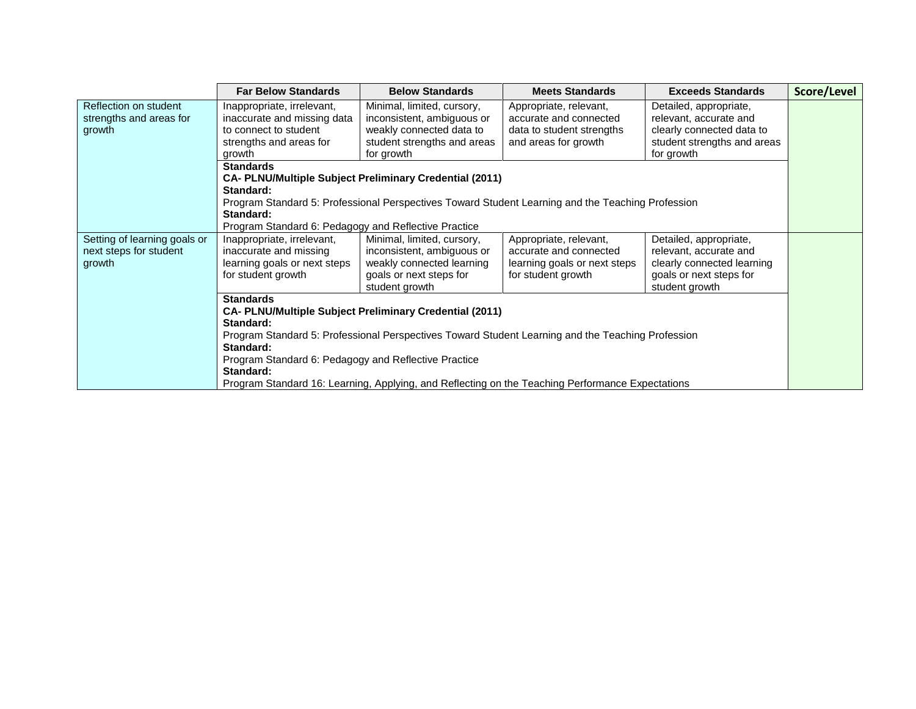|                              | <b>Far Below Standards</b>                                                                                     | <b>Below Standards</b>                                                                            | <b>Meets Standards</b>                             | <b>Exceeds Standards</b>                              | Score/Level |  |
|------------------------------|----------------------------------------------------------------------------------------------------------------|---------------------------------------------------------------------------------------------------|----------------------------------------------------|-------------------------------------------------------|-------------|--|
| Reflection on student        | Inappropriate, irrelevant,                                                                                     | Minimal, limited, cursory,                                                                        | Appropriate, relevant,                             | Detailed, appropriate,                                |             |  |
| strengths and areas for      | inaccurate and missing data                                                                                    | inconsistent, ambiguous or                                                                        | accurate and connected                             | relevant, accurate and                                |             |  |
| growth                       | to connect to student                                                                                          | weakly connected data to                                                                          | data to student strengths                          | clearly connected data to                             |             |  |
|                              | strengths and areas for                                                                                        | student strengths and areas                                                                       | and areas for growth                               | student strengths and areas                           |             |  |
|                              | growth                                                                                                         | for growth                                                                                        |                                                    | for growth                                            |             |  |
|                              | <b>Standards</b>                                                                                               |                                                                                                   |                                                    |                                                       |             |  |
|                              |                                                                                                                | <b>CA- PLNU/Multiple Subject Preliminary Credential (2011)</b>                                    |                                                    |                                                       |             |  |
|                              | Standard:                                                                                                      |                                                                                                   |                                                    |                                                       |             |  |
|                              |                                                                                                                | Program Standard 5: Professional Perspectives Toward Student Learning and the Teaching Profession |                                                    |                                                       |             |  |
|                              | Standard:                                                                                                      |                                                                                                   |                                                    |                                                       |             |  |
|                              | Program Standard 6: Pedagogy and Reflective Practice                                                           |                                                                                                   |                                                    |                                                       |             |  |
| Setting of learning goals or | Inappropriate, irrelevant,                                                                                     | Minimal, limited, cursory,                                                                        | Appropriate, relevant,                             | Detailed, appropriate,                                |             |  |
| next steps for student       | inaccurate and missing                                                                                         | inconsistent, ambiguous or                                                                        | accurate and connected                             | relevant, accurate and                                |             |  |
| growth                       | learning goals or next steps<br>for student growth                                                             | weakly connected learning<br>goals or next steps for                                              | learning goals or next steps<br>for student growth | clearly connected learning<br>goals or next steps for |             |  |
|                              |                                                                                                                | student growth                                                                                    |                                                    | student growth                                        |             |  |
|                              | <b>Standards</b>                                                                                               |                                                                                                   |                                                    |                                                       |             |  |
|                              |                                                                                                                | <b>CA- PLNU/Multiple Subject Preliminary Credential (2011)</b>                                    |                                                    |                                                       |             |  |
|                              | Standard:                                                                                                      |                                                                                                   |                                                    |                                                       |             |  |
|                              |                                                                                                                |                                                                                                   |                                                    |                                                       |             |  |
|                              | Program Standard 5: Professional Perspectives Toward Student Learning and the Teaching Profession<br>Standard: |                                                                                                   |                                                    |                                                       |             |  |
|                              | Program Standard 6: Pedagogy and Reflective Practice                                                           |                                                                                                   |                                                    |                                                       |             |  |
|                              | Standard:                                                                                                      |                                                                                                   |                                                    |                                                       |             |  |
|                              |                                                                                                                | Program Standard 16: Learning, Applying, and Reflecting on the Teaching Performance Expectations  |                                                    |                                                       |             |  |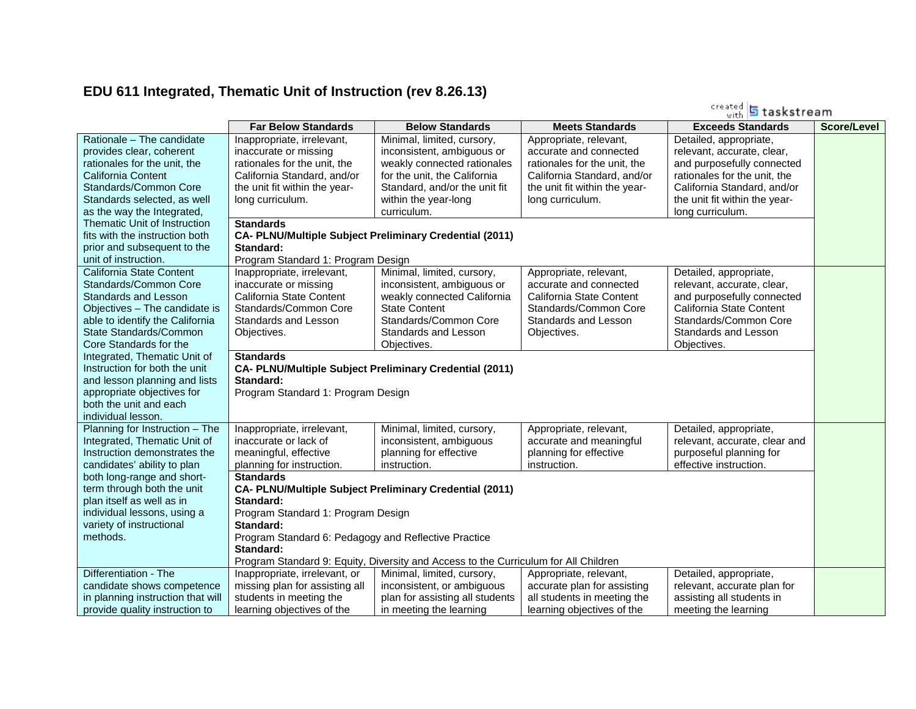# **EDU 611 Integrated, Thematic Unit of Instruction (rev 8.26.13)**

|                                                                                                                                                                                                                                                                                                                                   |                                                                                                                                                                                                                                                                                                                |                                                                                                                                                                                                                                            |                                                                                                                                                     | created 5 taskstream                                                                                                                                                           |                    |
|-----------------------------------------------------------------------------------------------------------------------------------------------------------------------------------------------------------------------------------------------------------------------------------------------------------------------------------|----------------------------------------------------------------------------------------------------------------------------------------------------------------------------------------------------------------------------------------------------------------------------------------------------------------|--------------------------------------------------------------------------------------------------------------------------------------------------------------------------------------------------------------------------------------------|-----------------------------------------------------------------------------------------------------------------------------------------------------|--------------------------------------------------------------------------------------------------------------------------------------------------------------------------------|--------------------|
|                                                                                                                                                                                                                                                                                                                                   | <b>Far Below Standards</b>                                                                                                                                                                                                                                                                                     | <b>Below Standards</b>                                                                                                                                                                                                                     | <b>Meets Standards</b>                                                                                                                              | <b>Exceeds Standards</b>                                                                                                                                                       | <b>Score/Level</b> |
| Rationale - The candidate<br>provides clear, coherent<br>rationales for the unit, the                                                                                                                                                                                                                                             | Inappropriate, irrelevant,<br>inaccurate or missing<br>rationales for the unit, the                                                                                                                                                                                                                            | Minimal, limited, cursory,<br>inconsistent, ambiguous or<br>weakly connected rationales                                                                                                                                                    | Appropriate, relevant,<br>accurate and connected<br>rationales for the unit, the                                                                    | Detailed, appropriate,<br>relevant, accurate, clear,<br>and purposefully connected                                                                                             |                    |
| <b>California Content</b><br>Standards/Common Core<br>Standards selected, as well<br>as the way the Integrated,                                                                                                                                                                                                                   | California Standard, and/or<br>the unit fit within the year-<br>long curriculum.                                                                                                                                                                                                                               | for the unit, the California<br>Standard, and/or the unit fit<br>within the year-long<br>curriculum.                                                                                                                                       | California Standard, and/or<br>the unit fit within the year-<br>long curriculum.                                                                    | rationales for the unit, the<br>California Standard, and/or<br>the unit fit within the year-<br>long curriculum.                                                               |                    |
| Thematic Unit of Instruction<br>fits with the instruction both<br>prior and subsequent to the<br>unit of instruction.                                                                                                                                                                                                             | <b>Standards</b><br>Standard:<br>Program Standard 1: Program Design                                                                                                                                                                                                                                            | <b>CA- PLNU/Multiple Subject Preliminary Credential (2011)</b>                                                                                                                                                                             |                                                                                                                                                     |                                                                                                                                                                                |                    |
| California State Content<br>Standards/Common Core<br>Standards and Lesson<br>Objectives - The candidate is<br>able to identify the California<br>State Standards/Common<br>Core Standards for the<br>Integrated, Thematic Unit of<br>Instruction for both the unit<br>and lesson planning and lists<br>appropriate objectives for | Inappropriate, irrelevant,<br>inaccurate or missing<br>California State Content<br>Standards/Common Core<br>Standards and Lesson<br>Objectives.<br><b>Standards</b><br>Standard:<br>Program Standard 1: Program Design                                                                                         | Minimal, limited, cursory,<br>inconsistent, ambiguous or<br>weakly connected California<br><b>State Content</b><br>Standards/Common Core<br>Standards and Lesson<br>Objectives.<br>CA- PLNU/Multiple Subject Preliminary Credential (2011) | Appropriate, relevant,<br>accurate and connected<br>California State Content<br>Standards/Common Core<br><b>Standards and Lesson</b><br>Objectives. | Detailed, appropriate,<br>relevant, accurate, clear,<br>and purposefully connected<br>California State Content<br>Standards/Common Core<br>Standards and Lesson<br>Objectives. |                    |
| both the unit and each<br>individual lesson.                                                                                                                                                                                                                                                                                      |                                                                                                                                                                                                                                                                                                                |                                                                                                                                                                                                                                            |                                                                                                                                                     |                                                                                                                                                                                |                    |
| Planning for Instruction - The<br>Integrated, Thematic Unit of<br>Instruction demonstrates the<br>candidates' ability to plan                                                                                                                                                                                                     | Inappropriate, irrelevant,<br>inaccurate or lack of<br>meaningful, effective<br>planning for instruction.                                                                                                                                                                                                      | Minimal, limited, cursory,<br>inconsistent, ambiguous<br>planning for effective<br>instruction.                                                                                                                                            | Appropriate, relevant,<br>accurate and meaningful<br>planning for effective<br>instruction.                                                         | Detailed, appropriate,<br>relevant, accurate, clear and<br>purposeful planning for<br>effective instruction.                                                                   |                    |
| both long-range and short-<br>term through both the unit<br>plan itself as well as in<br>individual lessons, using a<br>variety of instructional<br>methods.                                                                                                                                                                      | <b>Standards</b><br><b>CA- PLNU/Multiple Subject Preliminary Credential (2011)</b><br>Standard:<br>Program Standard 1: Program Design<br>Standard:<br>Program Standard 6: Pedagogy and Reflective Practice<br>Standard:<br>Program Standard 9: Equity, Diversity and Access to the Curriculum for All Children |                                                                                                                                                                                                                                            |                                                                                                                                                     |                                                                                                                                                                                |                    |
| Differentiation - The<br>candidate shows competence<br>in planning instruction that will<br>provide quality instruction to                                                                                                                                                                                                        | Inappropriate, irrelevant, or<br>missing plan for assisting all<br>students in meeting the<br>learning objectives of the                                                                                                                                                                                       | Minimal, limited, cursory,<br>inconsistent, or ambiguous<br>plan for assisting all students<br>in meeting the learning                                                                                                                     | Appropriate, relevant,<br>accurate plan for assisting<br>all students in meeting the<br>learning objectives of the                                  | Detailed, appropriate,<br>relevant, accurate plan for<br>assisting all students in<br>meeting the learning                                                                     |                    |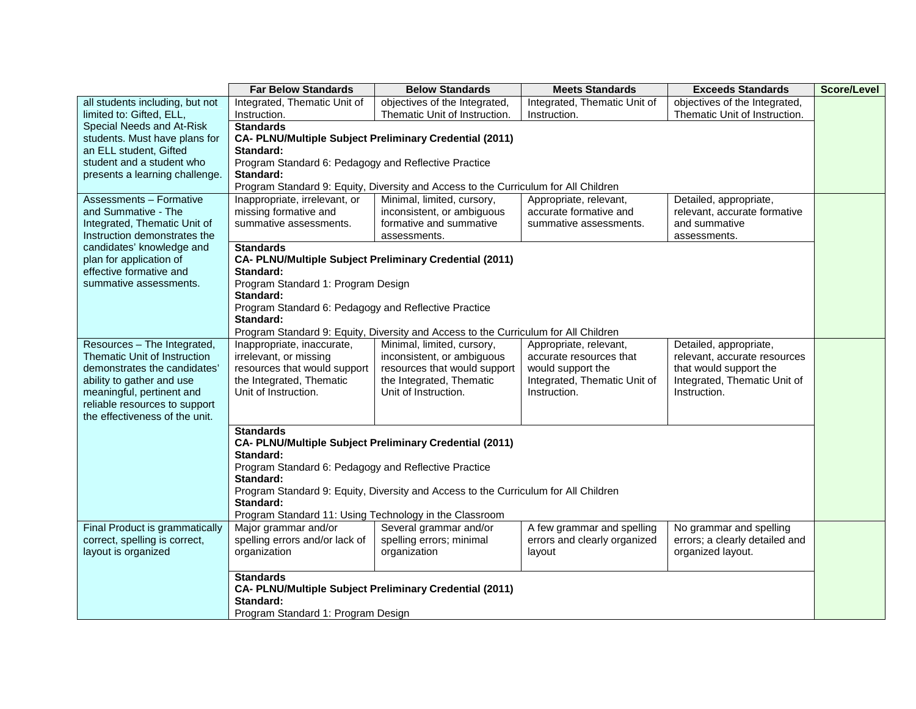|                                                   | <b>Far Below Standards</b>                                     | <b>Below Standards</b>                                                              | <b>Meets Standards</b>       | <b>Exceeds Standards</b>       | <b>Score/Level</b> |
|---------------------------------------------------|----------------------------------------------------------------|-------------------------------------------------------------------------------------|------------------------------|--------------------------------|--------------------|
| all students including, but not                   | Integrated, Thematic Unit of                                   | objectives of the Integrated,                                                       | Integrated, Thematic Unit of | objectives of the Integrated,  |                    |
| limited to: Gifted, ELL,                          | Instruction.                                                   | Thematic Unit of Instruction.                                                       | Instruction.                 | Thematic Unit of Instruction.  |                    |
| Special Needs and At-Risk                         | <b>Standards</b>                                               |                                                                                     |                              |                                |                    |
| students. Must have plans for                     | CA- PLNU/Multiple Subject Preliminary Credential (2011)        |                                                                                     |                              |                                |                    |
| an ELL student. Gifted                            | Standard:                                                      |                                                                                     |                              |                                |                    |
| student and a student who                         | Program Standard 6: Pedagogy and Reflective Practice           |                                                                                     |                              |                                |                    |
| presents a learning challenge.                    | Standard:                                                      |                                                                                     |                              |                                |                    |
|                                                   |                                                                | Program Standard 9: Equity, Diversity and Access to the Curriculum for All Children |                              |                                |                    |
| <b>Assessments - Formative</b>                    | Inappropriate, irrelevant, or                                  | Minimal, limited, cursory,                                                          | Appropriate, relevant,       | Detailed, appropriate,         |                    |
| and Summative - The                               | missing formative and                                          | inconsistent, or ambiguous                                                          | accurate formative and       | relevant, accurate formative   |                    |
| Integrated, Thematic Unit of                      | summative assessments.                                         | formative and summative                                                             | summative assessments.       | and summative                  |                    |
| Instruction demonstrates the                      |                                                                | assessments.                                                                        |                              | assessments.                   |                    |
| candidates' knowledge and                         | <b>Standards</b>                                               |                                                                                     |                              |                                |                    |
| plan for application of                           | CA- PLNU/Multiple Subject Preliminary Credential (2011)        |                                                                                     |                              |                                |                    |
| effective formative and<br>summative assessments. | Standard:                                                      |                                                                                     |                              |                                |                    |
|                                                   | Program Standard 1: Program Design<br>Standard:                |                                                                                     |                              |                                |                    |
|                                                   | Program Standard 6: Pedagogy and Reflective Practice           |                                                                                     |                              |                                |                    |
|                                                   | Standard:                                                      |                                                                                     |                              |                                |                    |
|                                                   |                                                                | Program Standard 9: Equity, Diversity and Access to the Curriculum for All Children |                              |                                |                    |
| Resources - The Integrated,                       | Inappropriate, inaccurate,                                     | Minimal, limited, cursory,                                                          | Appropriate, relevant,       | Detailed, appropriate,         |                    |
| Thematic Unit of Instruction                      | irrelevant, or missing                                         | inconsistent, or ambiguous                                                          | accurate resources that      | relevant, accurate resources   |                    |
| demonstrates the candidates'                      | resources that would support                                   | resources that would support                                                        | would support the            | that would support the         |                    |
| ability to gather and use                         | the Integrated, Thematic                                       | the Integrated, Thematic                                                            | Integrated, Thematic Unit of | Integrated, Thematic Unit of   |                    |
| meaningful, pertinent and                         | Unit of Instruction.                                           | Unit of Instruction.                                                                | Instruction.                 | Instruction.                   |                    |
| reliable resources to support                     |                                                                |                                                                                     |                              |                                |                    |
| the effectiveness of the unit.                    |                                                                |                                                                                     |                              |                                |                    |
|                                                   | <b>Standards</b>                                               |                                                                                     |                              |                                |                    |
|                                                   | <b>CA- PLNU/Multiple Subject Preliminary Credential (2011)</b> |                                                                                     |                              |                                |                    |
|                                                   | Standard:                                                      |                                                                                     |                              |                                |                    |
|                                                   | Program Standard 6: Pedagogy and Reflective Practice           |                                                                                     |                              |                                |                    |
|                                                   | Standard:                                                      |                                                                                     |                              |                                |                    |
|                                                   |                                                                | Program Standard 9: Equity, Diversity and Access to the Curriculum for All Children |                              |                                |                    |
|                                                   | Standard:                                                      |                                                                                     |                              |                                |                    |
|                                                   | Program Standard 11: Using Technology in the Classroom         |                                                                                     |                              |                                |                    |
| Final Product is grammatically                    | Major grammar and/or                                           | Several grammar and/or                                                              | A few grammar and spelling   | No grammar and spelling        |                    |
| correct, spelling is correct,                     | spelling errors and/or lack of                                 | spelling errors; minimal                                                            | errors and clearly organized | errors; a clearly detailed and |                    |
| layout is organized                               | organization                                                   | organization                                                                        | layout                       | organized layout.              |                    |
|                                                   |                                                                |                                                                                     |                              |                                |                    |
|                                                   | <b>Standards</b>                                               |                                                                                     |                              |                                |                    |
|                                                   | CA- PLNU/Multiple Subject Preliminary Credential (2011)        |                                                                                     |                              |                                |                    |
|                                                   | Standard:                                                      |                                                                                     |                              |                                |                    |
|                                                   | Program Standard 1: Program Design                             |                                                                                     |                              |                                |                    |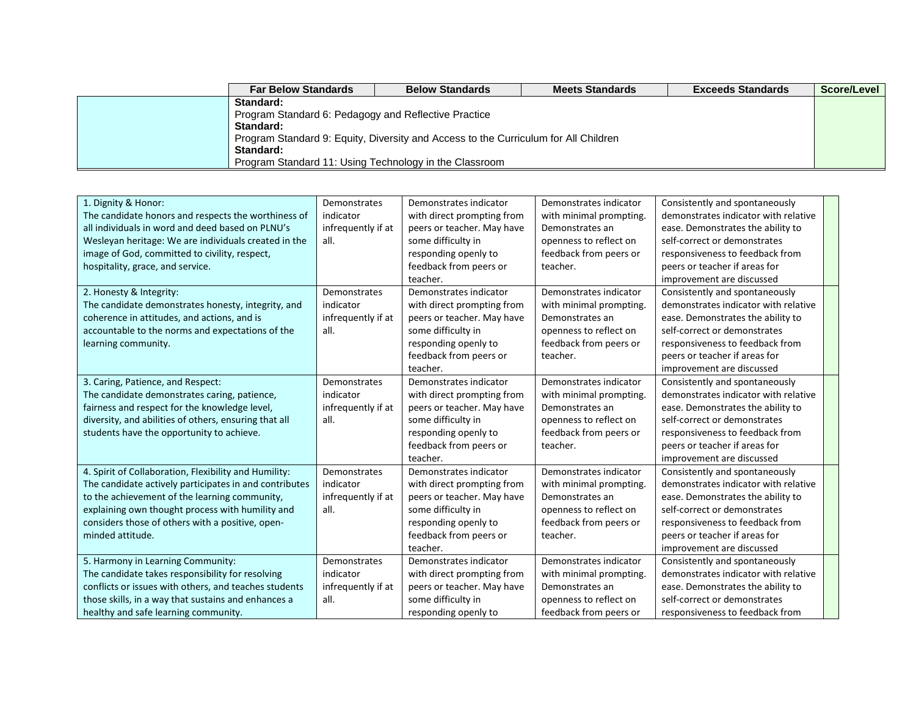| <b>Far Below Standards</b>                                                          | <b>Below Standards</b>                               | <b>Meets Standards</b> | <b>Exceeds Standards</b> | Score/Level |  |  |
|-------------------------------------------------------------------------------------|------------------------------------------------------|------------------------|--------------------------|-------------|--|--|
| Standard:                                                                           |                                                      |                        |                          |             |  |  |
|                                                                                     | Program Standard 6: Pedagogy and Reflective Practice |                        |                          |             |  |  |
| Standard:                                                                           |                                                      |                        |                          |             |  |  |
| Program Standard 9: Equity, Diversity and Access to the Curriculum for All Children |                                                      |                        |                          |             |  |  |
| Standard:                                                                           |                                                      |                        |                          |             |  |  |
| Program Standard 11: Using Technology in the Classroom                              |                                                      |                        |                          |             |  |  |

| 1. Dignity & Honor:<br>The candidate honors and respects the worthiness of<br>all individuals in word and deed based on PLNU's<br>Wesleyan heritage: We are individuals created in the<br>image of God, committed to civility, respect,<br>hospitality, grace, and service.                  | Demonstrates<br>indicator<br>infrequently if at<br>all. | Demonstrates indicator<br>with direct prompting from<br>peers or teacher. May have<br>some difficulty in<br>responding openly to<br>feedback from peers or<br>teacher. | Demonstrates indicator<br>with minimal prompting.<br>Demonstrates an<br>openness to reflect on<br>feedback from peers or<br>teacher. | Consistently and spontaneously<br>demonstrates indicator with relative<br>ease. Demonstrates the ability to<br>self-correct or demonstrates<br>responsiveness to feedback from<br>peers or teacher if areas for<br>improvement are discussed |
|----------------------------------------------------------------------------------------------------------------------------------------------------------------------------------------------------------------------------------------------------------------------------------------------|---------------------------------------------------------|------------------------------------------------------------------------------------------------------------------------------------------------------------------------|--------------------------------------------------------------------------------------------------------------------------------------|----------------------------------------------------------------------------------------------------------------------------------------------------------------------------------------------------------------------------------------------|
| 2. Honesty & Integrity:<br>The candidate demonstrates honesty, integrity, and<br>coherence in attitudes, and actions, and is<br>accountable to the norms and expectations of the<br>learning community.                                                                                      | Demonstrates<br>indicator<br>infrequently if at<br>all. | Demonstrates indicator<br>with direct prompting from<br>peers or teacher. May have<br>some difficulty in<br>responding openly to<br>feedback from peers or<br>teacher. | Demonstrates indicator<br>with minimal prompting.<br>Demonstrates an<br>openness to reflect on<br>feedback from peers or<br>teacher. | Consistently and spontaneously<br>demonstrates indicator with relative<br>ease. Demonstrates the ability to<br>self-correct or demonstrates<br>responsiveness to feedback from<br>peers or teacher if areas for<br>improvement are discussed |
| 3. Caring, Patience, and Respect:<br>The candidate demonstrates caring, patience,<br>fairness and respect for the knowledge level,<br>diversity, and abilities of others, ensuring that all<br>students have the opportunity to achieve.                                                     | Demonstrates<br>indicator<br>infrequently if at<br>all. | Demonstrates indicator<br>with direct prompting from<br>peers or teacher. May have<br>some difficulty in<br>responding openly to<br>feedback from peers or<br>teacher. | Demonstrates indicator<br>with minimal prompting.<br>Demonstrates an<br>openness to reflect on<br>feedback from peers or<br>teacher. | Consistently and spontaneously<br>demonstrates indicator with relative<br>ease. Demonstrates the ability to<br>self-correct or demonstrates<br>responsiveness to feedback from<br>peers or teacher if areas for<br>improvement are discussed |
| 4. Spirit of Collaboration, Flexibility and Humility:<br>The candidate actively participates in and contributes<br>to the achievement of the learning community,<br>explaining own thought process with humility and<br>considers those of others with a positive, open-<br>minded attitude. | Demonstrates<br>indicator<br>infrequently if at<br>all. | Demonstrates indicator<br>with direct prompting from<br>peers or teacher. May have<br>some difficulty in<br>responding openly to<br>feedback from peers or<br>teacher. | Demonstrates indicator<br>with minimal prompting.<br>Demonstrates an<br>openness to reflect on<br>feedback from peers or<br>teacher. | Consistently and spontaneously<br>demonstrates indicator with relative<br>ease. Demonstrates the ability to<br>self-correct or demonstrates<br>responsiveness to feedback from<br>peers or teacher if areas for<br>improvement are discussed |
| 5. Harmony in Learning Community:<br>The candidate takes responsibility for resolving<br>conflicts or issues with others, and teaches students<br>those skills, in a way that sustains and enhances a<br>healthy and safe learning community.                                                | Demonstrates<br>indicator<br>infrequently if at<br>all. | Demonstrates indicator<br>with direct prompting from<br>peers or teacher. May have<br>some difficulty in<br>responding openly to                                       | Demonstrates indicator<br>with minimal prompting.<br>Demonstrates an<br>openness to reflect on<br>feedback from peers or             | Consistently and spontaneously<br>demonstrates indicator with relative<br>ease. Demonstrates the ability to<br>self-correct or demonstrates<br>responsiveness to feedback from                                                               |